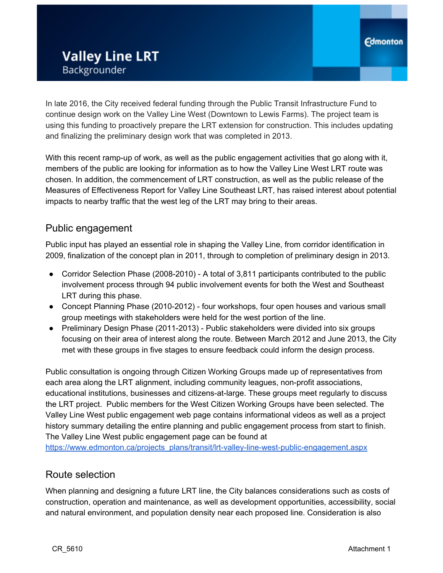In late 2016, the City received federal funding through the Public Transit Infrastructure Fund to continue design work on the Valley Line West (Downtown to Lewis Farms). The project team is using this funding to proactively prepare the LRT extension for construction. This includes updating and finalizing the preliminary design work that was completed in 2013.

With this recent ramp-up of work, as well as the public engagement activities that go along with it, members of the public are looking for information as to how the Valley Line West LRT route was chosen. In addition, the commencement of LRT construction, as well as the public release of the Measures of Effectiveness Report for Valley Line Southeast LRT, has raised interest about potential impacts to nearby traffic that the west leg of the LRT may bring to their areas.

## Public engagement

Public input has played an essential role in shaping the Valley Line, from corridor identification in 2009, finalization of the concept plan in 2011, through to completion of preliminary design in 2013.

- Corridor Selection Phase (2008-2010) A total of 3,811 participants contributed to the public involvement process through 94 public involvement events for both the West and Southeast LRT during this phase.
- Concept Planning Phase (2010-2012) four workshops, four open houses and various small group meetings with stakeholders were held for the west portion of the line.
- Preliminary Design Phase (2011-2013) Public stakeholders were divided into six groups focusing on their area of interest along the route. Between March 2012 and June 2013, the City met with these groups in five stages to ensure feedback could inform the design process.

Public consultation is ongoing through Citizen Working Groups made up of representatives from each area along the LRT alignment, including community leagues, non-profit associations, educational institutions, businesses and citizens-at-large. These groups meet regularly to discuss the LRT project. Public members for the West Citizen Working Groups have been selected. The Valley Line West public engagement web page contains informational videos as well as a project history summary detailing the entire planning and public engagement process from start to finish. The Valley Line West public engagement page can be found at

[https://www.edmonton.ca/projects\\_plans/transit/lrt-valley-line-west-public-engagement.aspx](https://www.edmonton.ca/projects_plans/transit/lrt-valley-line-west-public-engagement.aspx)

## Route selection

When planning and designing a future LRT line, the City balances considerations such as costs of construction, operation and maintenance, as well as development opportunities, accessibility, social and natural environment, and population density near each proposed line. Consideration is also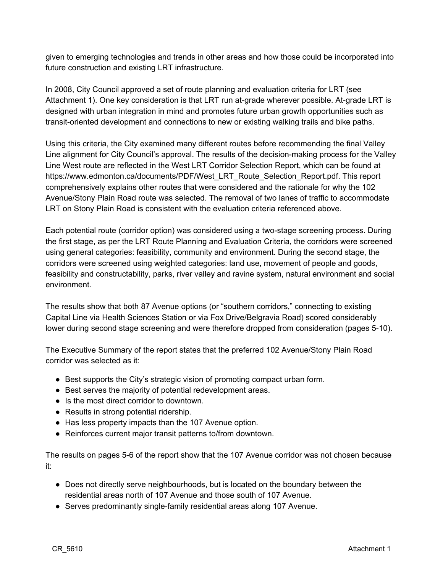given to emerging technologies and trends in other areas and how those could be incorporated into future construction and existing LRT infrastructure.

In 2008, City Council approved a set of route planning and evaluation criteria for LRT (see Attachment 1). One key consideration is that LRT run at-grade wherever possible. At-grade LRT is designed with urban integration in mind and promotes future urban growth opportunities such as transit-oriented development and connections to new or existing walking trails and bike paths.

Using this criteria, the City examined many different routes before recommending the final Valley Line alignment for City Council's approval. The results of the decision-making process for the Valley Line West route are reflected in the West LRT Corridor Selection Repor[t,](https://www.edmonton.ca/documents/PDF/West_LRT_Route_Selection_Report.pdf) [w](https://www.edmonton.ca/documents/PDF/West_LRT_Route_Selection_Report.pdf)h[ich](https://www.edmonton.ca/documents/PDF/West_LRT_Route_Selection_Report.pdf) [can](https://www.edmonton.ca/documents/PDF/West_LRT_Route_Selection_Report.pdf) [b](https://www.edmonton.ca/documents/PDF/West_LRT_Route_Selection_Report.pdf)e [found](https://www.edmonton.ca/documents/PDF/West_LRT_Route_Selection_Report.pdf) [at](https://www.edmonton.ca/documents/PDF/West_LRT_Route_Selection_Report.pdf) [https://www.edmonton.ca/documents/PDF/West\\_LRT\\_Route\\_Selection\\_Report.pdf](https://www.edmonton.ca/documents/PDF/West_LRT_Route_Selection_Report.pdf). This report comprehensively explains other routes that were considered and the rationale for why the 102 Avenue/Stony Plain Road route was selected. The removal of two lanes of traffic to accommodate LRT on Stony Plain Road is consistent with the evaluation criteria referenced above.

Each potential route (corridor option) was considered using a two-stage screening process. During the first stage, as per the LRT Route Planning and Evaluation Criteria, the corridors were screened using general categories: feasibility, community and environment. During the second stage, the corridors were screened using weighted categories: land use, movement of people and goods, feasibility and constructability, parks, river valley and ravine system, natural environment and social environment.

The results show that both 87 Avenue options (or "southern corridors," connecting to existing Capital Line via Health Sciences Station or via Fox Drive/Belgravia Road) scored considerably lower during second stage screening and were therefore dropped from consideration (pages 5-10).

The Executive Summary of the report states that the preferred 102 Avenue/Stony Plain Road corridor was selected as it:

- Best supports the City's strategic vision of promoting compact urban form.
- Best serves the majority of potential redevelopment areas.
- Is the most direct corridor to downtown.
- Results in strong potential ridership.
- Has less property impacts than the 107 Avenue option.
- Reinforces current major transit patterns to/from downtown.

The results on pages 5-6 of the report show that the 107 Avenue corridor was not chosen because it:

- Does not directly serve neighbourhoods, but is located on the boundary between the residential areas north of 107 Avenue and those south of 107 Avenue.
- Serves predominantly single-family residential areas along 107 Avenue.